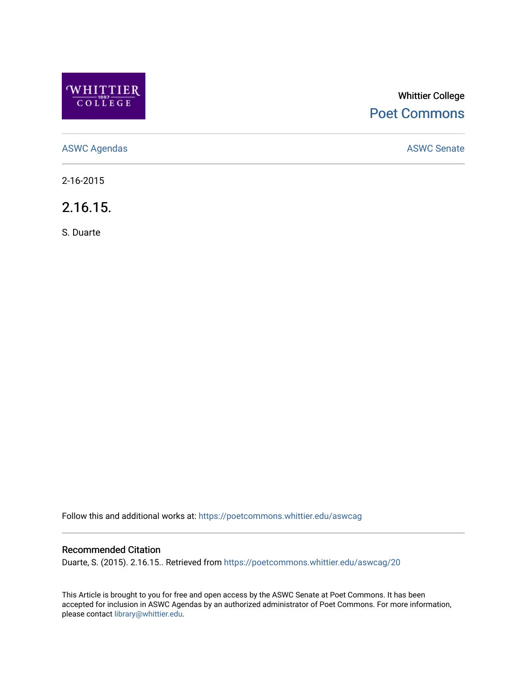

# Whittier College [Poet Commons](https://poetcommons.whittier.edu/)

[ASWC Agendas](https://poetcommons.whittier.edu/aswcag) **ASWC Senate** 

2-16-2015

2.16.15.

S. Duarte

Follow this and additional works at: [https://poetcommons.whittier.edu/aswcag](https://poetcommons.whittier.edu/aswcag?utm_source=poetcommons.whittier.edu%2Faswcag%2F20&utm_medium=PDF&utm_campaign=PDFCoverPages) 

# Recommended Citation

Duarte, S. (2015). 2.16.15.. Retrieved from [https://poetcommons.whittier.edu/aswcag/20](https://poetcommons.whittier.edu/aswcag/20?utm_source=poetcommons.whittier.edu%2Faswcag%2F20&utm_medium=PDF&utm_campaign=PDFCoverPages) 

This Article is brought to you for free and open access by the ASWC Senate at Poet Commons. It has been accepted for inclusion in ASWC Agendas by an authorized administrator of Poet Commons. For more information, please contact [library@whittier.edu](mailto:library@whittier.edu).